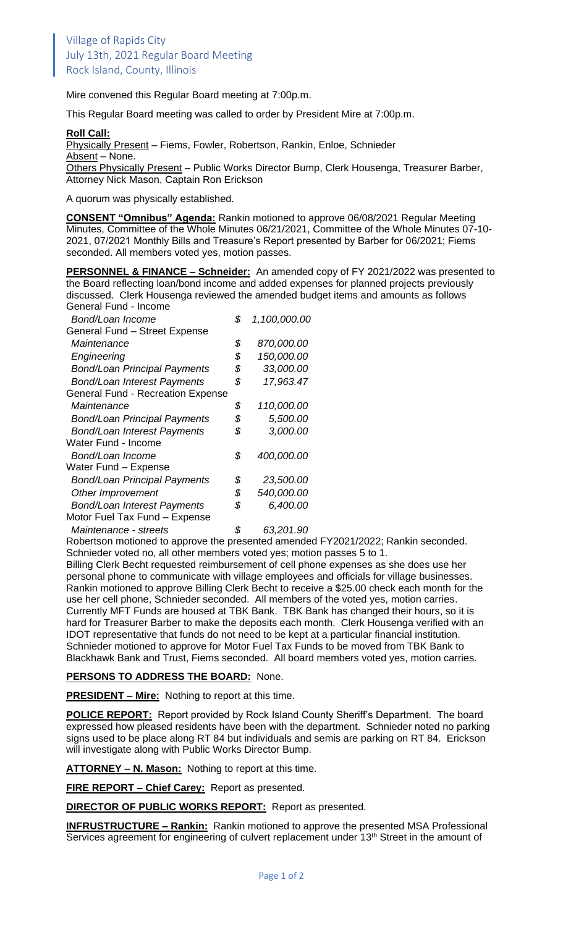Mire convened this Regular Board meeting at 7:00p.m.

This Regular Board meeting was called to order by President Mire at 7:00p.m.

## **Roll Call:**

Physically Present – Fiems, Fowler, Robertson, Rankin, Enloe, Schnieder Absent – None.

Others Physically Present - Public Works Director Bump, Clerk Housenga, Treasurer Barber, Attorney Nick Mason, Captain Ron Erickson

A quorum was physically established.

**CONSENT "Omnibus" Agenda:** Rankin motioned to approve 06/08/2021 Regular Meeting Minutes, Committee of the Whole Minutes 06/21/2021, Committee of the Whole Minutes 07-10- 2021, 07/2021 Monthly Bills and Treasure's Report presented by Barber for 06/2021; Fiems seconded. All members voted yes, motion passes.

**PERSONNEL & FINANCE – Schneider:** An amended copy of FY 2021/2022 was presented to the Board reflecting loan/bond income and added expenses for planned projects previously discussed. Clerk Housenga reviewed the amended budget items and amounts as follows General Fund - Income

| Bond/Loan Income                         | \$<br>1,100,000.00 |
|------------------------------------------|--------------------|
| General Fund - Street Expense            |                    |
| Maintenance                              | \$<br>870,000.00   |
| Engineering                              | \$<br>150,000.00   |
| <b>Bond/Loan Principal Payments</b>      | \$<br>33,000.00    |
| <b>Bond/Loan Interest Payments</b>       | \$<br>17,963.47    |
| <b>General Fund - Recreation Expense</b> |                    |
| Maintenance                              | \$<br>110,000.00   |
| <b>Bond/Loan Principal Payments</b>      | \$<br>5,500.00     |
| <b>Bond/Loan Interest Payments</b>       | \$<br>3,000.00     |
| Water Fund - Income                      |                    |
| Bond/Loan Income                         | \$<br>400,000.00   |
| Water Fund - Expense                     |                    |
| <b>Bond/Loan Principal Payments</b>      | \$<br>23,500.00    |
| Other Improvement                        | \$<br>540,000.00   |
| <b>Bond/Loan Interest Payments</b>       | \$<br>6,400.00     |
| Motor Fuel Tax Fund - Expense            |                    |
| Maintenance - streets                    | \$<br>63,201.90    |

Robertson motioned to approve the presented amended FY2021/2022; Rankin seconded. Schnieder voted no, all other members voted yes; motion passes 5 to 1.

Billing Clerk Becht requested reimbursement of cell phone expenses as she does use her personal phone to communicate with village employees and officials for village businesses. Rankin motioned to approve Billing Clerk Becht to receive a \$25.00 check each month for the use her cell phone, Schnieder seconded. All members of the voted yes, motion carries. Currently MFT Funds are housed at TBK Bank. TBK Bank has changed their hours, so it is hard for Treasurer Barber to make the deposits each month. Clerk Housenga verified with an IDOT representative that funds do not need to be kept at a particular financial institution. Schnieder motioned to approve for Motor Fuel Tax Funds to be moved from TBK Bank to Blackhawk Bank and Trust, Fiems seconded. All board members voted yes, motion carries.

## **PERSONS TO ADDRESS THE BOARD:** None.

**PRESIDENT – Mire:** Nothing to report at this time.

**POLICE REPORT:** Report provided by Rock Island County Sheriff's Department. The board expressed how pleased residents have been with the department. Schnieder noted no parking signs used to be place along RT 84 but individuals and semis are parking on RT 84. Erickson will investigate along with Public Works Director Bump.

**ATTORNEY – N. Mason:** Nothing to report at this time.

**FIRE REPORT – Chief Carey:** Report as presented.

**DIRECTOR OF PUBLIC WORKS REPORT:** Report as presented.

**INFRUSTRUCTURE – Rankin:** Rankin motioned to approve the presented MSA Professional Services agreement for engineering of culvert replacement under 13<sup>th</sup> Street in the amount of